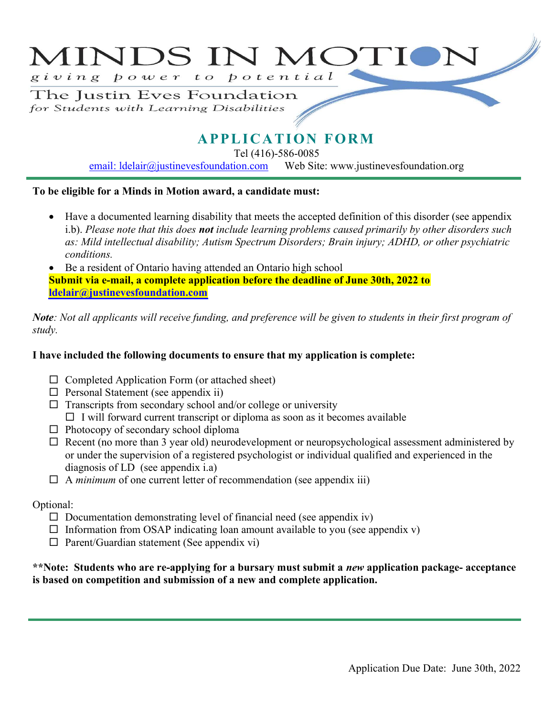# MINDS IN MOTIC giving power to potential

The Justin Eves Foundation for Students with Learning Disabilities

## **APPLICATION FORM**

Tel (416)-586-0085

email: Idelair@justinevesfoundation.com Web Site: www.justinevesfoundation.org

#### To be eligible for a Minds in Motion award, a candidate must:

- Have a documented learning disability that meets the accepted definition of this disorder (see appendix i.b). Please note that this does **not** include learning problems caused primarily by other disorders such as: Mild intellectual disability; Autism Spectrum Disorders; Brain injury; ADHD, or other psychiatric conditions.
- Be a resident of Ontario having attended an Ontario high school Submit via e-mail, a complete application before the deadline of June 30th, 202**2** to ldelair@justinevesfoundation.com

Note: Not all applicants will receive funding, and preference will be given to students in their first program of study.

#### I have included the following documents to ensure that my application is complete:

- $\Box$  Completed Application Form (or attached sheet)
- $\Box$  Personal Statement (see appendix ii)
- $\Box$  Transcripts from secondary school and/or college or university
- $\Box$  I will forward current transcript or diploma as soon as it becomes available
- $\Box$  Photocopy of secondary school diploma
- $\Box$  Recent (no more than 3 year old) neurodevelopment or neuropsychological assessment administered by or under the supervision of a registered psychologist or individual qualified and experienced in the diagnosis of LD (see appendix i.a)
- $\Box$  A *minimum* of one current letter of recommendation (see appendix iii)

#### Optional:

- $\Box$  Documentation demonstrating level of financial need (see appendix iv)
- $\Box$  Information from OSAP indicating loan amount available to you (see appendix v)
- $\Box$  Parent/Guardian statement (See appendix vi)

#### \*\*Note: Students who are re-applying for a bursary must submit a new application package- acceptance is based on competition and submission of a new and complete application.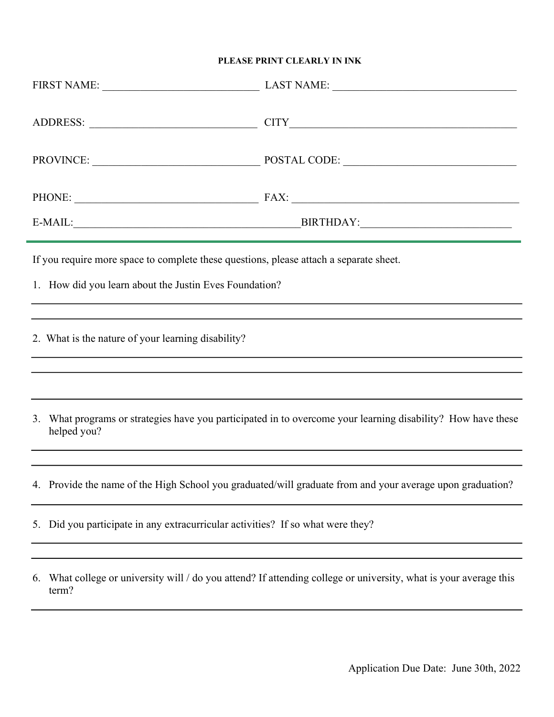#### PLEASE PRINT CLEARLY IN INK

|                                                                                                                                                  | FIRST NAME: LAST NAME: LAST NAME:   |
|--------------------------------------------------------------------------------------------------------------------------------------------------|-------------------------------------|
|                                                                                                                                                  |                                     |
|                                                                                                                                                  | PROVINCE: POSTAL CODE: POSTAL CODE: |
|                                                                                                                                                  | PHONE: FAX: FAX:                    |
|                                                                                                                                                  |                                     |
| If you require more space to complete these questions, please attach a separate sheet.<br>1. How did you learn about the Justin Eves Foundation? |                                     |
|                                                                                                                                                  |                                     |
| 2. What is the nature of your learning disability?                                                                                               |                                     |
|                                                                                                                                                  |                                     |
| What programs or strategies have you participated in to overcome your learning disability? How have these<br>3.<br>helped you?                   |                                     |
|                                                                                                                                                  |                                     |
| 4. Provide the name of the High School you graduated/will graduate from and your average upon graduation?                                        |                                     |
| Did you participate in any extracurricular activities? If so what were they?<br>5.                                                               |                                     |
|                                                                                                                                                  |                                     |
| What college or university will / do you attend? If attending college or university, what is your average this<br>6.<br>term?                    |                                     |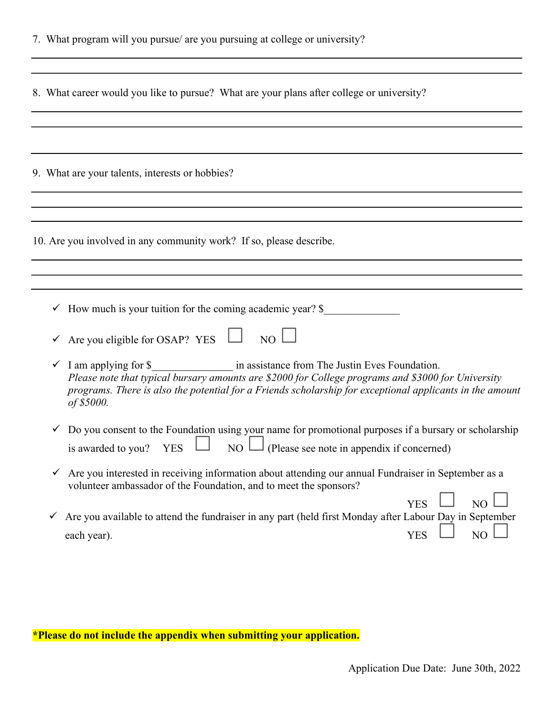| 7. What program will you pursue/ are you pursuing at college or university?                                                                                                                                                                                       |  |
|-------------------------------------------------------------------------------------------------------------------------------------------------------------------------------------------------------------------------------------------------------------------|--|
| 8. What career would you like to pursue? What are your plans after college or university?                                                                                                                                                                         |  |
|                                                                                                                                                                                                                                                                   |  |
| 9. What are your talents, interests or hobbies?                                                                                                                                                                                                                   |  |
|                                                                                                                                                                                                                                                                   |  |
| 10. Are you involved in any community work? If so, please describe.                                                                                                                                                                                               |  |
|                                                                                                                                                                                                                                                                   |  |
| $\checkmark$ How much is your tuition for the coming academic year? \$                                                                                                                                                                                            |  |
| Are you eligible for OSAP? YES $\Box$ NO $\Box$<br>Please note that typical bursary amounts are \$2000 for College programs and \$3000 for University<br>programs. There is also the potential for a Friends scholarship for exceptional applicants in the amount |  |
| of \$5000.<br>Do you consent to the Foundation using your name for promotional purposes if a bursary or scholarship                                                                                                                                               |  |
| (Please see note in appendix if concerned)<br>NO<br>is awarded to you?<br><b>YES</b>                                                                                                                                                                              |  |
| Are you interested in receiving information about attending our annual Fundraiser in September as a<br>✓<br>volunteer ambassador of the Foundation, and to meet the sponsors?<br><b>YES</b><br>N <sub>O</sub>                                                     |  |
| Are you available to attend the fundraiser in any part (held first Monday after Labour Day in September<br>✓<br>N <sub>O</sub><br><b>YES</b><br>each year).                                                                                                       |  |

\*Please do not include the appendix when submitting your application.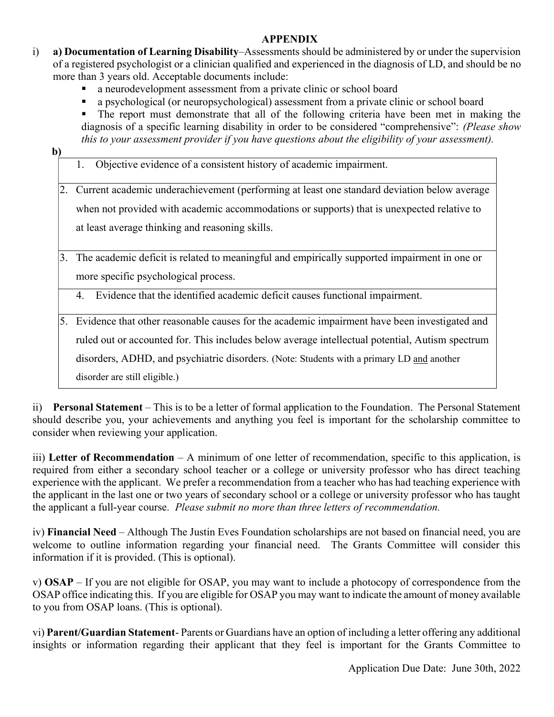#### APPENDIX

- i) a) Documentation of Learning Disability–Assessments should be administered by or under the supervision of a registered psychologist or a clinician qualified and experienced in the diagnosis of LD, and should be no more than 3 years old. Acceptable documents include:
	- a neurodevelopment assessment from a private clinic or school board
	- a psychological (or neuropsychological) assessment from a private clinic or school board
	- The report must demonstrate that all of the following criteria have been met in making the diagnosis of a specific learning disability in order to be considered "comprehensive": (Please show this to your assessment provider if you have questions about the eligibility of your assessment).

b)

- 1. Objective evidence of a consistent history of academic impairment.
- 2. Current academic underachievement (performing at least one standard deviation below average when not provided with academic accommodations or supports) that is unexpected relative to at least average thinking and reasoning skills.
- 3. The academic deficit is related to meaningful and empirically supported impairment in one or more specific psychological process.

4. Evidence that the identified academic deficit causes functional impairment.

5. Evidence that other reasonable causes for the academic impairment have been investigated and ruled out or accounted for. This includes below average intellectual potential, Autism spectrum disorders, ADHD, and psychiatric disorders. (Note: Students with a primary LD and another disorder are still eligible.)

ii) Personal Statement – This is to be a letter of formal application to the Foundation. The Personal Statement should describe you, your achievements and anything you feel is important for the scholarship committee to consider when reviewing your application.

iii) Letter of Recommendation – A minimum of one letter of recommendation, specific to this application, is required from either a secondary school teacher or a college or university professor who has direct teaching experience with the applicant. We prefer a recommendation from a teacher who has had teaching experience with the applicant in the last one or two years of secondary school or a college or university professor who has taught the applicant a full-year course. Please submit no more than three letters of recommendation.

iv) Financial Need – Although The Justin Eves Foundation scholarships are not based on financial need, you are welcome to outline information regarding your financial need. The Grants Committee will consider this information if it is provided. (This is optional).

v) OSAP – If you are not eligible for OSAP, you may want to include a photocopy of correspondence from the OSAP office indicating this. If you are eligible for OSAP you may want to indicate the amount of money available to you from OSAP loans. (This is optional).

vi) Parent/Guardian Statement- Parents or Guardians have an option of including a letter offering any additional insights or information regarding their applicant that they feel is important for the Grants Committee to